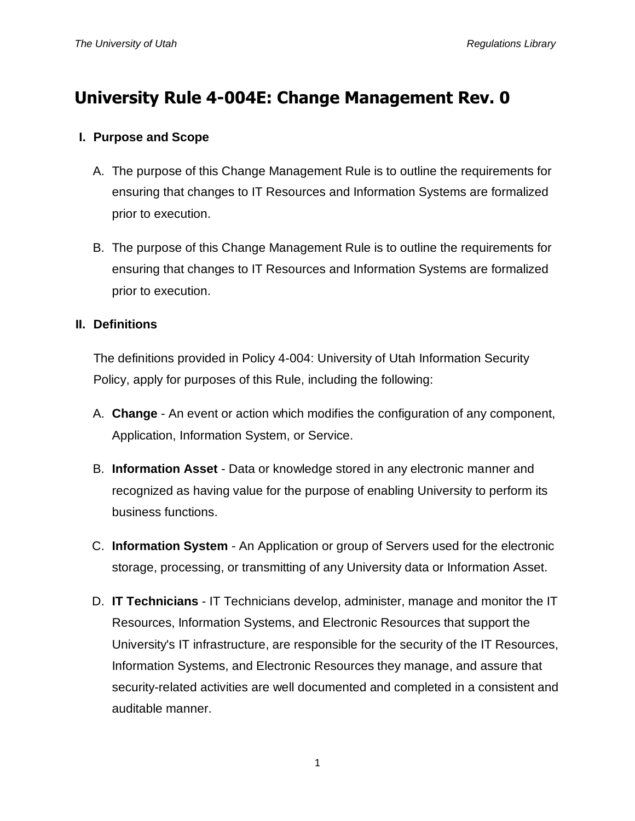# **University Rule 4-004E: Change Management Rev. 0**

## **I. Purpose and Scope**

- A. The purpose of this Change Management Rule is to outline the requirements for ensuring that changes to IT Resources and Information Systems are formalized prior to execution.
- B. The purpose of this Change Management Rule is to outline the requirements for ensuring that changes to IT Resources and Information Systems are formalized prior to execution.

## **II. Definitions**

The definitions provided in Policy 4-004: University of Utah Information Security Policy, apply for purposes of this Rule, including the following:

- A. **Change** An event or action which modifies the configuration of any component, Application, Information System, or Service.
- B. **Information Asset** Data or knowledge stored in any electronic manner and recognized as having value for the purpose of enabling University to perform its business functions.
- C. **Information System** An Application or group of Servers used for the electronic storage, processing, or transmitting of any University data or Information Asset.
- D. **IT Technicians** IT Technicians develop, administer, manage and monitor the IT Resources, Information Systems, and Electronic Resources that support the University's IT infrastructure, are responsible for the security of the IT Resources, Information Systems, and Electronic Resources they manage, and assure that security-related activities are well documented and completed in a consistent and auditable manner.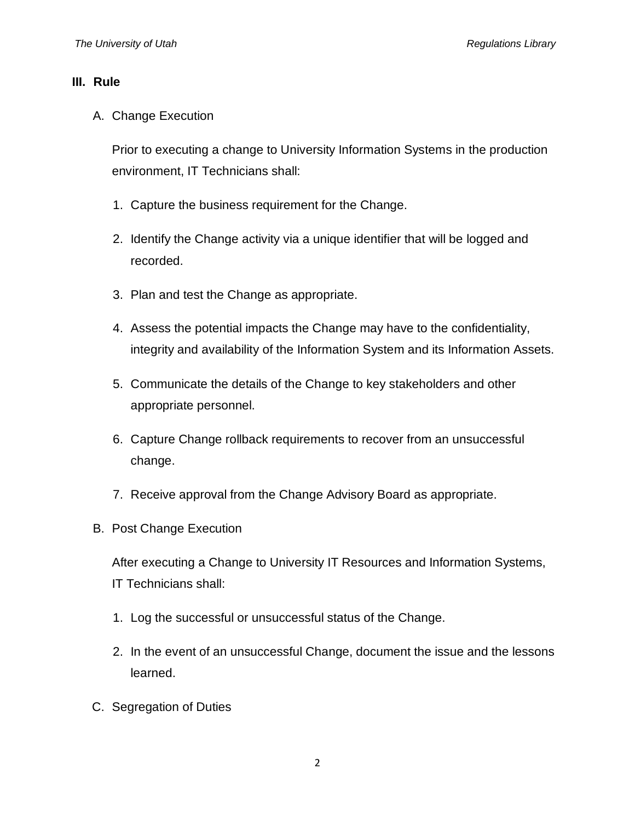#### **III. Rule**

A. Change Execution

Prior to executing a change to University Information Systems in the production environment, IT Technicians shall:

- 1. Capture the business requirement for the Change.
- 2. Identify the Change activity via a unique identifier that will be logged and recorded.
- 3. Plan and test the Change as appropriate.
- 4. Assess the potential impacts the Change may have to the confidentiality, integrity and availability of the Information System and its Information Assets.
- 5. Communicate the details of the Change to key stakeholders and other appropriate personnel.
- 6. Capture Change rollback requirements to recover from an unsuccessful change.
- 7. Receive approval from the Change Advisory Board as appropriate.
- B. Post Change Execution

After executing a Change to University IT Resources and Information Systems, IT Technicians shall:

- 1. Log the successful or unsuccessful status of the Change.
- 2. In the event of an unsuccessful Change, document the issue and the lessons learned.
- C. Segregation of Duties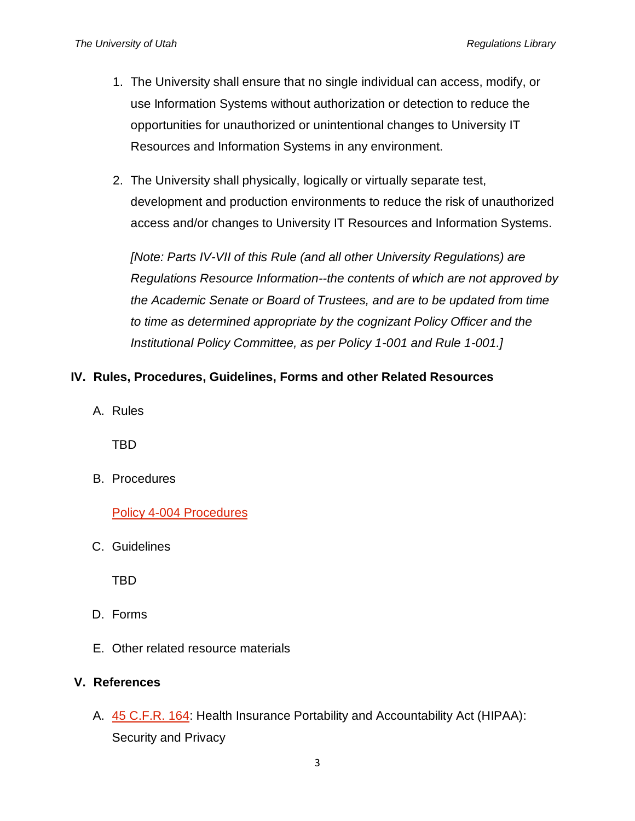- 1. The University shall ensure that no single individual can access, modify, or use Information Systems without authorization or detection to reduce the opportunities for unauthorized or unintentional changes to University IT Resources and Information Systems in any environment.
- 2. The University shall physically, logically or virtually separate test, development and production environments to reduce the risk of unauthorized access and/or changes to University IT Resources and Information Systems.

*[Note: Parts IV-VII of this Rule (and all other University Regulations) are Regulations Resource Information--the contents of which are not approved by the Academic Senate or Board of Trustees, and are to be updated from time to time as determined appropriate by the cognizant Policy Officer and the Institutional Policy Committee, as per Policy 1-001 and Rule 1-001.]*

## **IV. Rules, Procedures, Guidelines, Forms and other Related Resources**

A. Rules

TBD

B. Procedures

[Policy 4-004 Procedures](https://uofu.box.com/v/Procedures)

C. Guidelines

TBD

- D. Forms
- E. Other related resource materials

## **V. References**

A. [45 C.F.R. 164:](http://www.gpo.gov/fdsys/pkg/CFR-2011-title45-vol1/pdf/CFR-2011-title45-vol1-part164.pdf) Health Insurance Portability and Accountability Act (HIPAA): Security and Privacy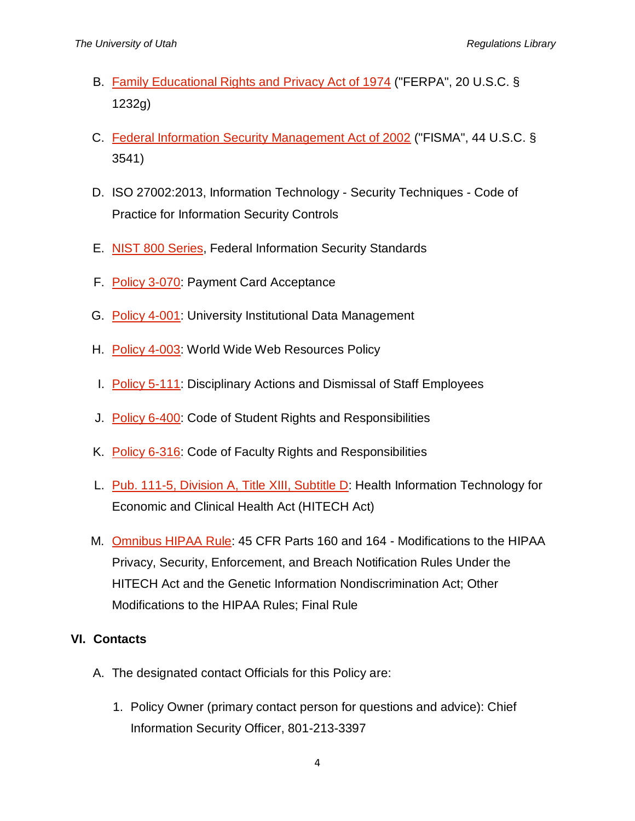- B. [Family Educational Rights and](http://www2.ed.gov/policy/gen/guid/fpco/ferpa/index.html) Privacy Act of 1974 ("FERPA", 20 U.S.C. § 1232g)
- C. [Federal Information Security Management Act of 2002](http://www.dhs.gov/federal-information-security-management-act-fisma) ("FISMA", 44 U.S.C. § 3541)
- D. ISO 27002:2013, Information Technology Security Techniques Code of Practice for Information Security Controls
- E. [NIST 800 Series,](http://csrc.nist.gov/publications/PubsSPs.html) Federal Information Security Standards
- F. [Policy 3-070:](http://regulations.utah.edu/administration/3-070.php) Payment Card Acceptance
- G. [Policy 4-001:](http://regulations.utah.edu/it/4-001.php) University Institutional Data Management
- H. [Policy 4-003:](http://regulations.utah.edu/it/4-003.php) World Wide Web Resources Policy
- I. [Policy 5-111:](http://regulations.utah.edu/human-resources/5-111.php) Disciplinary Actions and Dismissal of Staff Employees
- J. [Policy 6-400:](http://regulations.utah.edu/academics/6-400.php) Code of Student Rights and Responsibilities
- K. [Policy 6-316:](http://regulations.utah.edu/academics/6-316.php) Code of Faculty Rights and Responsibilities
- L. [Pub. 111-5, Division A, Title XIII, Subtitle D:](http://www.hhs.gov/ocr/privacy/hipaa/understanding/coveredentities/hitechact.pdf) Health Information Technology for Economic and Clinical Health Act (HITECH Act)
- M. [Omnibus HIPAA Rule:](http://www.gpo.gov/fdsys/pkg/FR-2013-01-25/pdf/2013-01073.pdf) 45 CFR Parts 160 and 164 Modifications to the HIPAA Privacy, Security, Enforcement, and Breach Notification Rules Under the HITECH Act and the Genetic Information Nondiscrimination Act; Other Modifications to the HIPAA Rules; Final Rule

## **VI. Contacts**

- A. The designated contact Officials for this Policy are:
	- 1. Policy Owner (primary contact person for questions and advice): Chief Information Security Officer, 801-213-3397